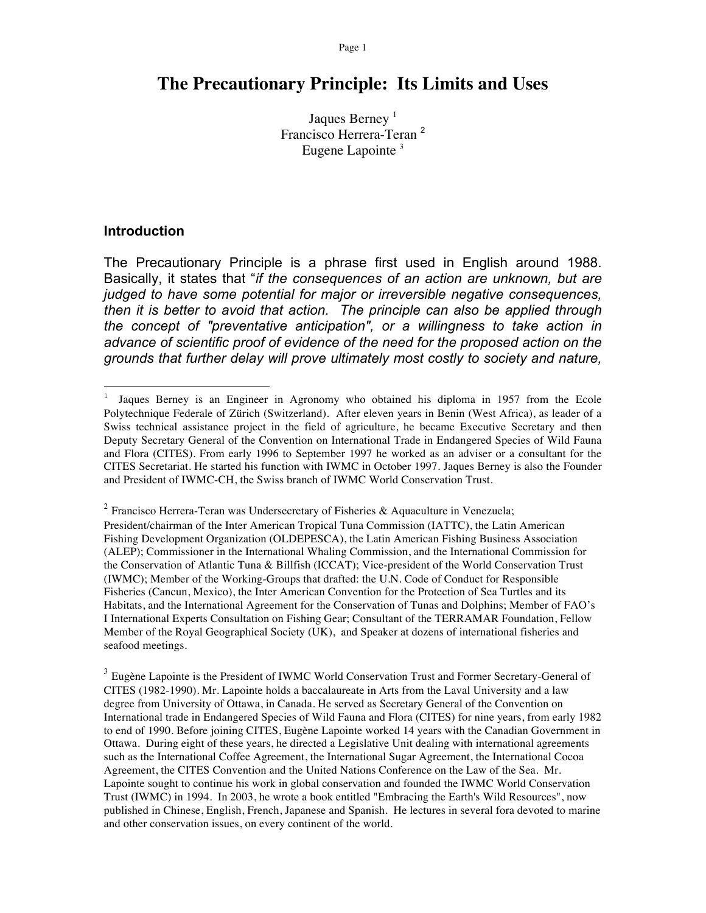# **The Precautionary Principle: Its Limits and Uses**

Jaques Berney<sup>1</sup> Francisco Herrera-Teran <sup>2</sup> Eugene Lapointe<sup>3</sup>

#### **Introduction**

 $\overline{a}$ 

The Precautionary Principle is a phrase first used in English around 1988. Basically, it states that "*if the consequences of an action are unknown, but are judged to have some potential for major or irreversible negative consequences, then it is better to avoid that action. The principle can also be applied through the concept of "preventative anticipation", or a willingness to take action in advance of scientific proof of evidence of the need for the proposed action on the grounds that further delay will prove ultimately most costly to society and nature,* 

<sup>2</sup> Francisco Herrera-Teran was Undersecretary of Fisheries & Aquaculture in Venezuela; President/chairman of the Inter American Tropical Tuna Commission (IATTC), the Latin American Fishing Development Organization (OLDEPESCA), the Latin American Fishing Business Association (ALEP); Commissioner in the International Whaling Commission, and the International Commission for the Conservation of Atlantic Tuna & Billfish (ICCAT); Vice-president of the World Conservation Trust (IWMC); Member of the Working-Groups that drafted: the U.N. Code of Conduct for Responsible Fisheries (Cancun, Mexico), the Inter American Convention for the Protection of Sea Turtles and its Habitats, and the International Agreement for the Conservation of Tunas and Dolphins; Member of FAO's I International Experts Consultation on Fishing Gear; Consultant of the TERRAMAR Foundation, Fellow Member of the Royal Geographical Society (UK), and Speaker at dozens of international fisheries and seafood meetings.

<sup>3</sup> Eugène Lapointe is the President of IWMC World Conservation Trust and Former Secretary-General of CITES (1982-1990). Mr. Lapointe holds a baccalaureate in Arts from the Laval University and a law degree from University of Ottawa, in Canada. He served as Secretary General of the Convention on International trade in Endangered Species of Wild Fauna and Flora (CITES) for nine years, from early 1982 to end of 1990. Before joining CITES, Eugène Lapointe worked 14 years with the Canadian Government in Ottawa. During eight of these years, he directed a Legislative Unit dealing with international agreements such as the International Coffee Agreement, the International Sugar Agreement, the International Cocoa Agreement, the CITES Convention and the United Nations Conference on the Law of the Sea. Mr. Lapointe sought to continue his work in global conservation and founded the IWMC World Conservation Trust (IWMC) in 1994. In 2003, he wrote a book entitled "Embracing the Earth's Wild Resources", now published in Chinese, English, French, Japanese and Spanish. He lectures in several fora devoted to marine and other conservation issues, on every continent of the world.

<sup>&</sup>lt;sup>1</sup> Jaques Berney is an Engineer in Agronomy who obtained his diploma in 1957 from the Ecole Polytechnique Federale of Zürich (Switzerland). After eleven years in Benin (West Africa), as leader of a Swiss technical assistance project in the field of agriculture, he became Executive Secretary and then Deputy Secretary General of the Convention on International Trade in Endangered Species of Wild Fauna and Flora (CITES). From early 1996 to September 1997 he worked as an adviser or a consultant for the CITES Secretariat. He started his function with IWMC in October 1997. Jaques Berney is also the Founder and President of IWMC-CH, the Swiss branch of IWMC World Conservation Trust.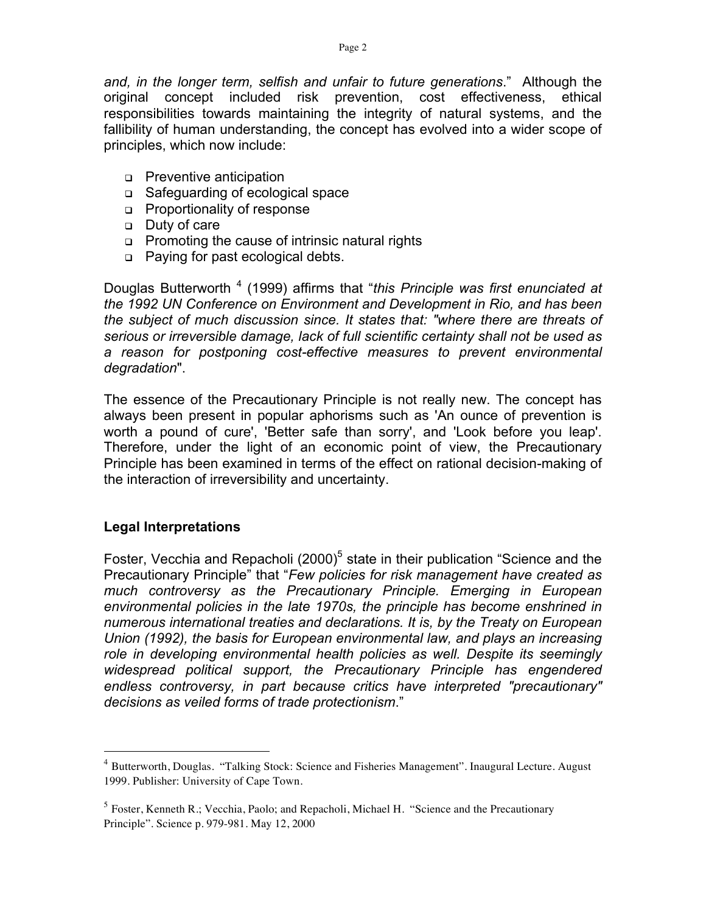*and, in the longer term, selfish and unfair to future generations*." Although the original concept included risk prevention, cost effectiveness, ethical responsibilities towards maintaining the integrity of natural systems, and the fallibility of human understanding, the concept has evolved into a wider scope of principles, which now include:

- **Preventive anticipation**
- Safeguarding of ecological space
- **Proportionality of response**
- Duty of care
- **Promoting the cause of intrinsic natural rights**
- □ Paying for past ecological debts.

Douglas Butterworth<sup>4</sup> (1999) affirms that "*this Principle was first enunciated at the 1992 UN Conference on Environment and Development in Rio, and has been the subject of much discussion since. It states that: "where there are threats of serious or irreversible damage, lack of full scientific certainty shall not be used as a reason for postponing cost-effective measures to prevent environmental degradation*".

The essence of the Precautionary Principle is not really new. The concept has always been present in popular aphorisms such as 'An ounce of prevention is worth a pound of cure', 'Better safe than sorry', and 'Look before you leap'. Therefore, under the light of an economic point of view, the Precautionary Principle has been examined in terms of the effect on rational decision-making of the interaction of irreversibility and uncertainty.

# **Legal Interpretations**

Foster, Vecchia and Repacholi (2000)<sup>5</sup> state in their publication "Science and the Precautionary Principle" that "*Few policies for risk management have created as much controversy as the Precautionary Principle. Emerging in European environmental policies in the late 1970s, the principle has become enshrined in numerous international treaties and declarations. It is, by the Treaty on European Union (1992), the basis for European environmental law, and plays an increasing role in developing environmental health policies as well. Despite its seemingly widespread political support, the Precautionary Principle has engendered endless controversy, in part because critics have interpreted "precautionary" decisions as veiled forms of trade protectionism*."

<sup>&</sup>lt;sup>4</sup> Butterworth, Douglas. "Talking Stock: Science and Fisheries Management". Inaugural Lecture. August 1999. Publisher: University of Cape Town.

 $<sup>5</sup>$  Foster, Kenneth R.; Vecchia, Paolo; and Repacholi, Michael H. "Science and the Precautionary</sup> Principle". Science p. 979-981. May 12, 2000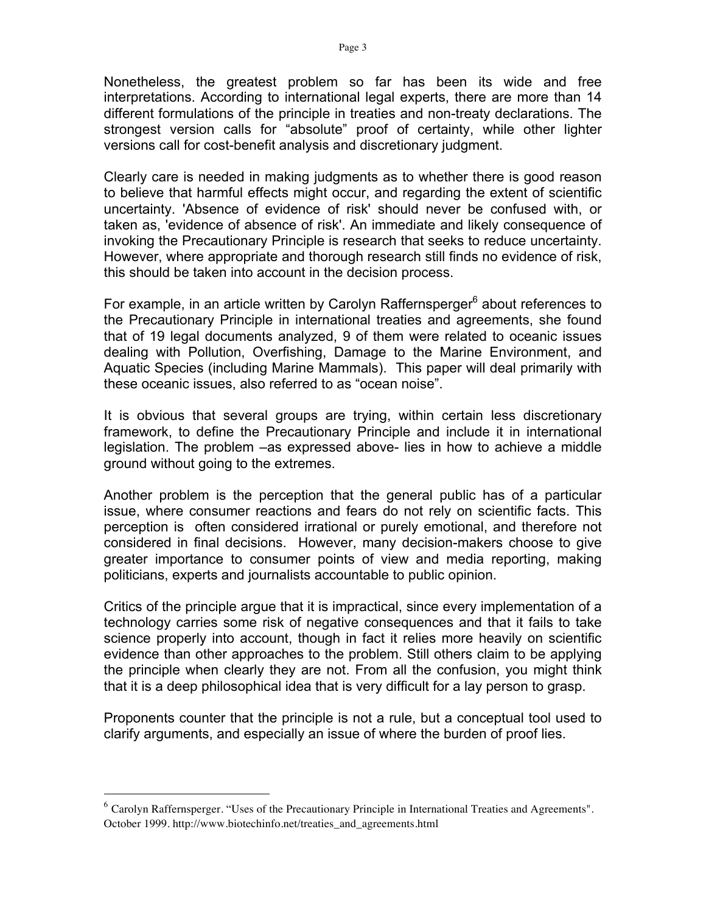Nonetheless, the greatest problem so far has been its wide and free interpretations. According to international legal experts, there are more than 14 different formulations of the principle in treaties and non-treaty declarations. The strongest version calls for "absolute" proof of certainty, while other lighter versions call for cost-benefit analysis and discretionary judgment.

Clearly care is needed in making judgments as to whether there is good reason to believe that harmful effects might occur, and regarding the extent of scientific uncertainty. 'Absence of evidence of risk' should never be confused with, or taken as, 'evidence of absence of risk'. An immediate and likely consequence of invoking the Precautionary Principle is research that seeks to reduce uncertainty. However, where appropriate and thorough research still finds no evidence of risk, this should be taken into account in the decision process.

For example, in an article written by Carolyn Raffernsperger<sup>6</sup> about references to the Precautionary Principle in international treaties and agreements, she found that of 19 legal documents analyzed, 9 of them were related to oceanic issues dealing with Pollution, Overfishing, Damage to the Marine Environment, and Aquatic Species (including Marine Mammals). This paper will deal primarily with these oceanic issues, also referred to as "ocean noise".

It is obvious that several groups are trying, within certain less discretionary framework, to define the Precautionary Principle and include it in international legislation. The problem –as expressed above- lies in how to achieve a middle ground without going to the extremes.

Another problem is the perception that the general public has of a particular issue, where consumer reactions and fears do not rely on scientific facts. This perception is often considered irrational or purely emotional, and therefore not considered in final decisions. However, many decision-makers choose to give greater importance to consumer points of view and media reporting, making politicians, experts and journalists accountable to public opinion.

Critics of the principle argue that it is impractical, since every implementation of a technology carries some risk of negative consequences and that it fails to take science properly into account, though in fact it relies more heavily on scientific evidence than other approaches to the problem. Still others claim to be applying the principle when clearly they are not. From all the confusion, you might think that it is a deep philosophical idea that is very difficult for a lay person to grasp.

Proponents counter that the principle is not a rule, but a conceptual tool used to clarify arguments, and especially an issue of where the burden of proof lies.

 $6$  Carolyn Raffernsperger. "Uses of the Precautionary Principle in International Treaties and Agreements". October 1999. http://www.biotechinfo.net/treaties\_and\_agreements.html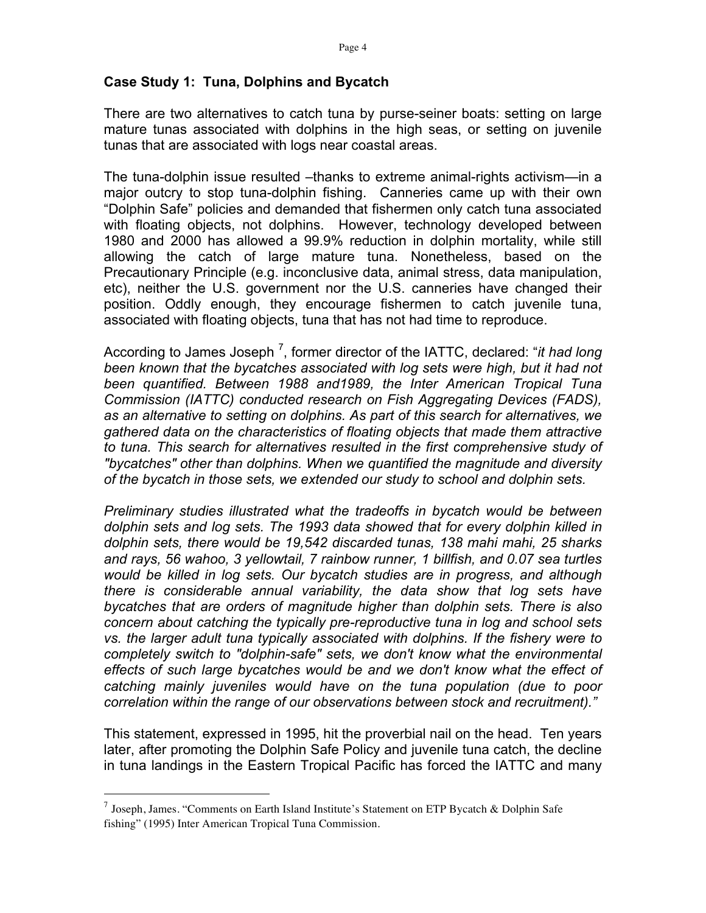#### **Case Study 1: Tuna, Dolphins and Bycatch**

There are two alternatives to catch tuna by purse-seiner boats: setting on large mature tunas associated with dolphins in the high seas, or setting on juvenile tunas that are associated with logs near coastal areas.

The tuna-dolphin issue resulted –thanks to extreme animal-rights activism—in a major outcry to stop tuna-dolphin fishing. Canneries came up with their own "Dolphin Safe" policies and demanded that fishermen only catch tuna associated with floating objects, not dolphins. However, technology developed between 1980 and 2000 has allowed a 99.9% reduction in dolphin mortality, while still allowing the catch of large mature tuna. Nonetheless, based on the Precautionary Principle (e.g. inconclusive data, animal stress, data manipulation, etc), neither the U.S. government nor the U.S. canneries have changed their position. Oddly enough, they encourage fishermen to catch juvenile tuna, associated with floating objects, tuna that has not had time to reproduce.

According to James Joseph<sup>7</sup>, former director of the IATTC, declared: "*it had long* been known that the bycatches associated with log sets were high, but it had not *been quantified. Between 1988 and1989, the Inter American Tropical Tuna Commission (IATTC) conducted research on Fish Aggregating Devices (FADS), as an alternative to setting on dolphins. As part of this search for alternatives, we gathered data on the characteristics of floating objects that made them attractive to tuna. This search for alternatives resulted in the first comprehensive study of "bycatches" other than dolphins. When we quantified the magnitude and diversity of the bycatch in those sets, we extended our study to school and dolphin sets.*

*Preliminary studies illustrated what the tradeoffs in bycatch would be between dolphin sets and log sets. The 1993 data showed that for every dolphin killed in dolphin sets, there would be 19,542 discarded tunas, 138 mahi mahi, 25 sharks and rays, 56 wahoo, 3 yellowtail, 7 rainbow runner, 1 billfish, and 0.07 sea turtles would be killed in log sets. Our bycatch studies are in progress, and although there is considerable annual variability, the data show that log sets have bycatches that are orders of magnitude higher than dolphin sets. There is also concern about catching the typically pre-reproductive tuna in log and school sets vs. the larger adult tuna typically associated with dolphins. If the fishery were to completely switch to "dolphin-safe" sets, we don't know what the environmental effects of such large bycatches would be and we don't know what the effect of catching mainly juveniles would have on the tuna population (due to poor correlation within the range of our observations between stock and recruitment)."*

This statement, expressed in 1995, hit the proverbial nail on the head. Ten years later, after promoting the Dolphin Safe Policy and juvenile tuna catch, the decline in tuna landings in the Eastern Tropical Pacific has forced the IATTC and many

<sup>&</sup>lt;sup>7</sup> Joseph, James. "Comments on Earth Island Institute's Statement on ETP Bycatch & Dolphin Safe fishing" (1995) Inter American Tropical Tuna Commission.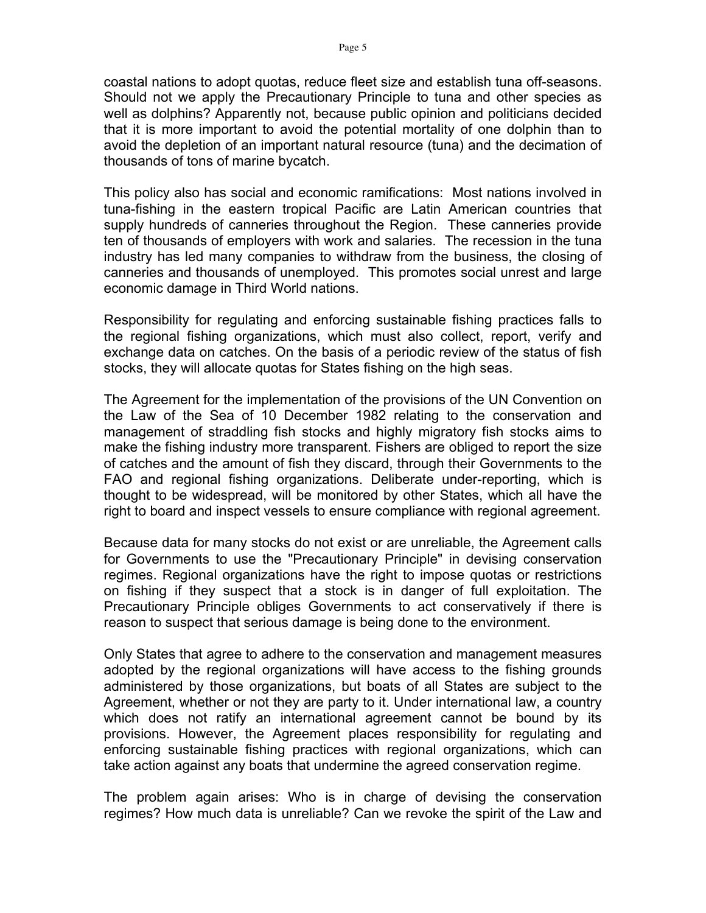coastal nations to adopt quotas, reduce fleet size and establish tuna off-seasons. Should not we apply the Precautionary Principle to tuna and other species as well as dolphins? Apparently not, because public opinion and politicians decided that it is more important to avoid the potential mortality of one dolphin than to avoid the depletion of an important natural resource (tuna) and the decimation of thousands of tons of marine bycatch.

This policy also has social and economic ramifications: Most nations involved in tuna-fishing in the eastern tropical Pacific are Latin American countries that supply hundreds of canneries throughout the Region. These canneries provide ten of thousands of employers with work and salaries. The recession in the tuna industry has led many companies to withdraw from the business, the closing of canneries and thousands of unemployed. This promotes social unrest and large economic damage in Third World nations.

Responsibility for regulating and enforcing sustainable fishing practices falls to the regional fishing organizations, which must also collect, report, verify and exchange data on catches. On the basis of a periodic review of the status of fish stocks, they will allocate quotas for States fishing on the high seas.

The Agreement for the implementation of the provisions of the UN Convention on the Law of the Sea of 10 December 1982 relating to the conservation and management of straddling fish stocks and highly migratory fish stocks aims to make the fishing industry more transparent. Fishers are obliged to report the size of catches and the amount of fish they discard, through their Governments to the FAO and regional fishing organizations. Deliberate under-reporting, which is thought to be widespread, will be monitored by other States, which all have the right to board and inspect vessels to ensure compliance with regional agreement.

Because data for many stocks do not exist or are unreliable, the Agreement calls for Governments to use the "Precautionary Principle" in devising conservation regimes. Regional organizations have the right to impose quotas or restrictions on fishing if they suspect that a stock is in danger of full exploitation. The Precautionary Principle obliges Governments to act conservatively if there is reason to suspect that serious damage is being done to the environment.

Only States that agree to adhere to the conservation and management measures adopted by the regional organizations will have access to the fishing grounds administered by those organizations, but boats of all States are subject to the Agreement, whether or not they are party to it. Under international law, a country which does not ratify an international agreement cannot be bound by its provisions. However, the Agreement places responsibility for regulating and enforcing sustainable fishing practices with regional organizations, which can take action against any boats that undermine the agreed conservation regime.

The problem again arises: Who is in charge of devising the conservation regimes? How much data is unreliable? Can we revoke the spirit of the Law and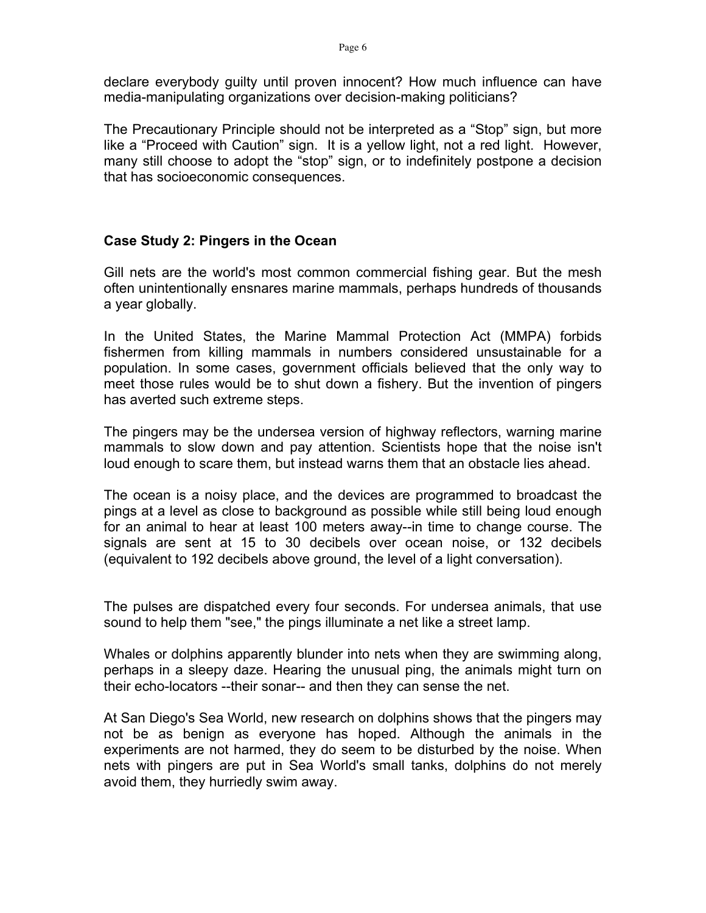declare everybody guilty until proven innocent? How much influence can have media-manipulating organizations over decision-making politicians?

The Precautionary Principle should not be interpreted as a "Stop" sign, but more like a "Proceed with Caution" sign. It is a yellow light, not a red light. However, many still choose to adopt the "stop" sign, or to indefinitely postpone a decision that has socioeconomic consequences.

## **Case Study 2: Pingers in the Ocean**

Gill nets are the world's most common commercial fishing gear. But the mesh often unintentionally ensnares marine mammals, perhaps hundreds of thousands a year globally.

In the United States, the Marine Mammal Protection Act (MMPA) forbids fishermen from killing mammals in numbers considered unsustainable for a population. In some cases, government officials believed that the only way to meet those rules would be to shut down a fishery. But the invention of pingers has averted such extreme steps.

The pingers may be the undersea version of highway reflectors, warning marine mammals to slow down and pay attention. Scientists hope that the noise isn't loud enough to scare them, but instead warns them that an obstacle lies ahead.

The ocean is a noisy place, and the devices are programmed to broadcast the pings at a level as close to background as possible while still being loud enough for an animal to hear at least 100 meters away--in time to change course. The signals are sent at 15 to 30 decibels over ocean noise, or 132 decibels (equivalent to 192 decibels above ground, the level of a light conversation).

The pulses are dispatched every four seconds. For undersea animals, that use sound to help them "see," the pings illuminate a net like a street lamp.

Whales or dolphins apparently blunder into nets when they are swimming along, perhaps in a sleepy daze. Hearing the unusual ping, the animals might turn on their echo-locators --their sonar-- and then they can sense the net.

At San Diego's Sea World, new research on dolphins shows that the pingers may not be as benign as everyone has hoped. Although the animals in the experiments are not harmed, they do seem to be disturbed by the noise. When nets with pingers are put in Sea World's small tanks, dolphins do not merely avoid them, they hurriedly swim away.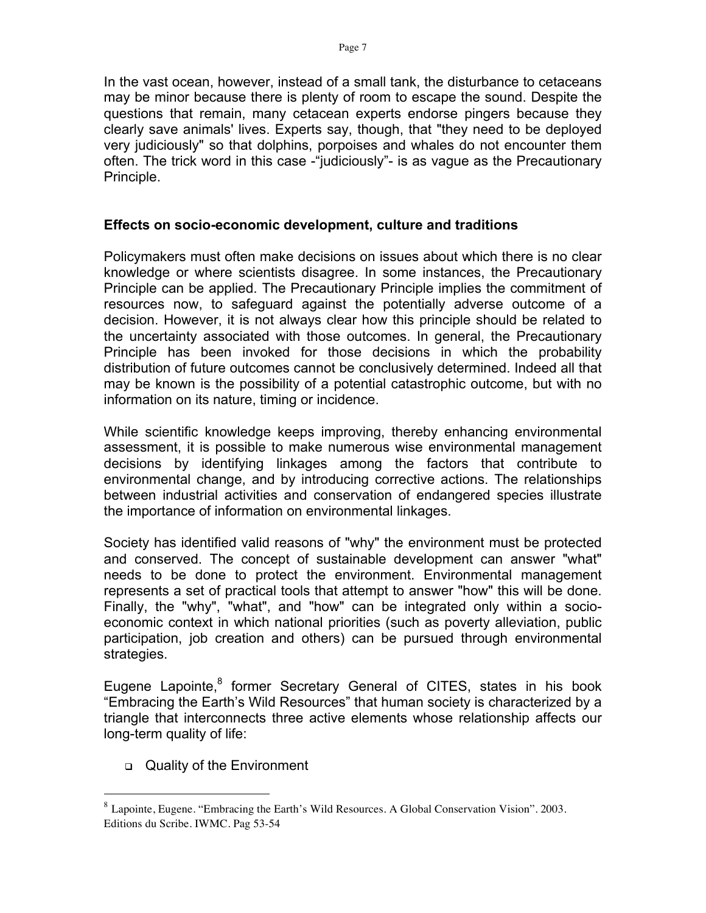In the vast ocean, however, instead of a small tank, the disturbance to cetaceans may be minor because there is plenty of room to escape the sound. Despite the questions that remain, many cetacean experts endorse pingers because they clearly save animals' lives. Experts say, though, that "they need to be deployed very judiciously" so that dolphins, porpoises and whales do not encounter them often. The trick word in this case -"judiciously"- is as vague as the Precautionary Principle.

#### **Effects on socio-economic development, culture and traditions**

Policymakers must often make decisions on issues about which there is no clear knowledge or where scientists disagree. In some instances, the Precautionary Principle can be applied. The Precautionary Principle implies the commitment of resources now, to safeguard against the potentially adverse outcome of a decision. However, it is not always clear how this principle should be related to the uncertainty associated with those outcomes. In general, the Precautionary Principle has been invoked for those decisions in which the probability distribution of future outcomes cannot be conclusively determined. Indeed all that may be known is the possibility of a potential catastrophic outcome, but with no information on its nature, timing or incidence.

While scientific knowledge keeps improving, thereby enhancing environmental assessment, it is possible to make numerous wise environmental management decisions by identifying linkages among the factors that contribute to environmental change, and by introducing corrective actions. The relationships between industrial activities and conservation of endangered species illustrate the importance of information on environmental linkages.

Society has identified valid reasons of "why" the environment must be protected and conserved. The concept of sustainable development can answer "what" needs to be done to protect the environment. Environmental management represents a set of practical tools that attempt to answer "how" this will be done. Finally, the "why", "what", and "how" can be integrated only within a socioeconomic context in which national priorities (such as poverty alleviation, public participation, job creation and others) can be pursued through environmental strategies.

Eugene Lapointe,<sup>8</sup> former Secretary General of CITES, states in his book "Embracing the Earth's Wild Resources" that human society is characterized by a triangle that interconnects three active elements whose relationship affects our long-term quality of life:

Quality of the Environment

 <sup>8</sup> Lapointe, Eugene. "Embracing the Earth's Wild Resources. A Global Conservation Vision". 2003. Editions du Scribe. IWMC. Pag 53-54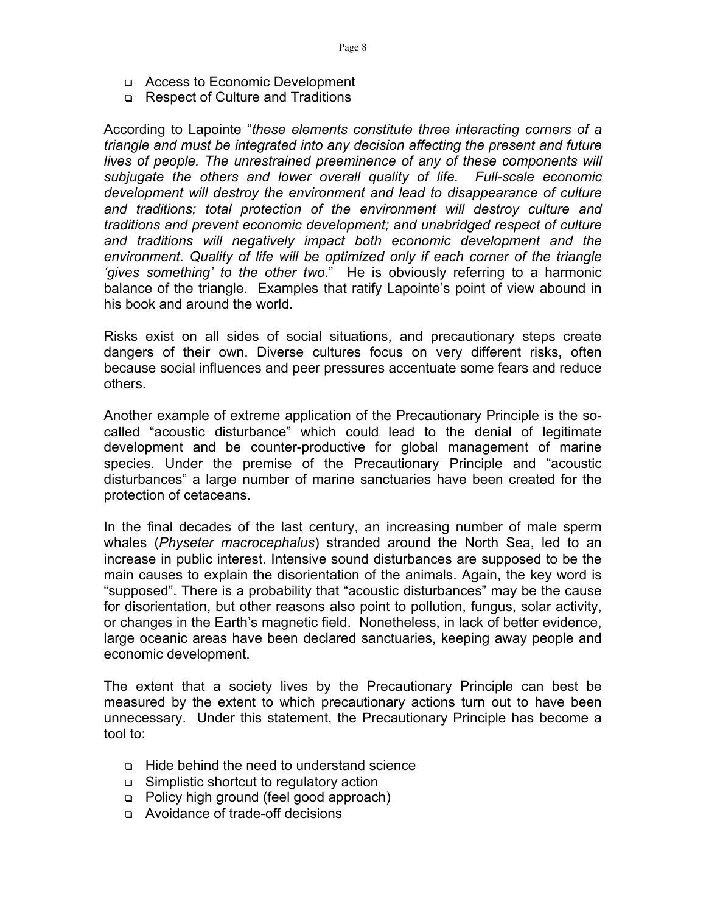- Access to Economic Development
- □ Respect of Culture and Traditions

According to Lapointe "*these elements constitute three interacting corners of a triangle and must be integrated into any decision affecting the present and future lives of people. The unrestrained preeminence of any of these components will subjugate the others and lower overall quality of life. Full-scale economic development will destroy the environment and lead to disappearance of culture and traditions; total protection of the environment will destroy culture and traditions and prevent economic development; and unabridged respect of culture and traditions will negatively impact both economic development and the environment. Quality of life will be optimized only if each corner of the triangle 'gives something' to the other two*." He is obviously referring to a harmonic balance of the triangle. Examples that ratify Lapointe's point of view abound in his book and around the world.

Risks exist on all sides of social situations, and precautionary steps create dangers of their own. Diverse cultures focus on very different risks, often because social influences and peer pressures accentuate some fears and reduce others.

Another example of extreme application of the Precautionary Principle is the socalled "acoustic disturbance" which could lead to the denial of legitimate development and be counter-productive for global management of marine species. Under the premise of the Precautionary Principle and "acoustic disturbances" a large number of marine sanctuaries have been created for the protection of cetaceans.

In the final decades of the last century, an increasing number of male sperm whales (*Physeter macrocephalus*) stranded around the North Sea, led to an increase in public interest. Intensive sound disturbances are supposed to be the main causes to explain the disorientation of the animals. Again, the key word is "supposed". There is a probability that "acoustic disturbances" may be the cause for disorientation, but other reasons also point to pollution, fungus, solar activity, or changes in the Earth's magnetic field. Nonetheless, in lack of better evidence, large oceanic areas have been declared sanctuaries, keeping away people and economic development.

The extent that a society lives by the Precautionary Principle can best be measured by the extent to which precautionary actions turn out to have been unnecessary. Under this statement, the Precautionary Principle has become a tool to:

- Hide behind the need to understand science
- Simplistic shortcut to regulatory action
- □ Policy high ground (feel good approach)
- □ Avoidance of trade-off decisions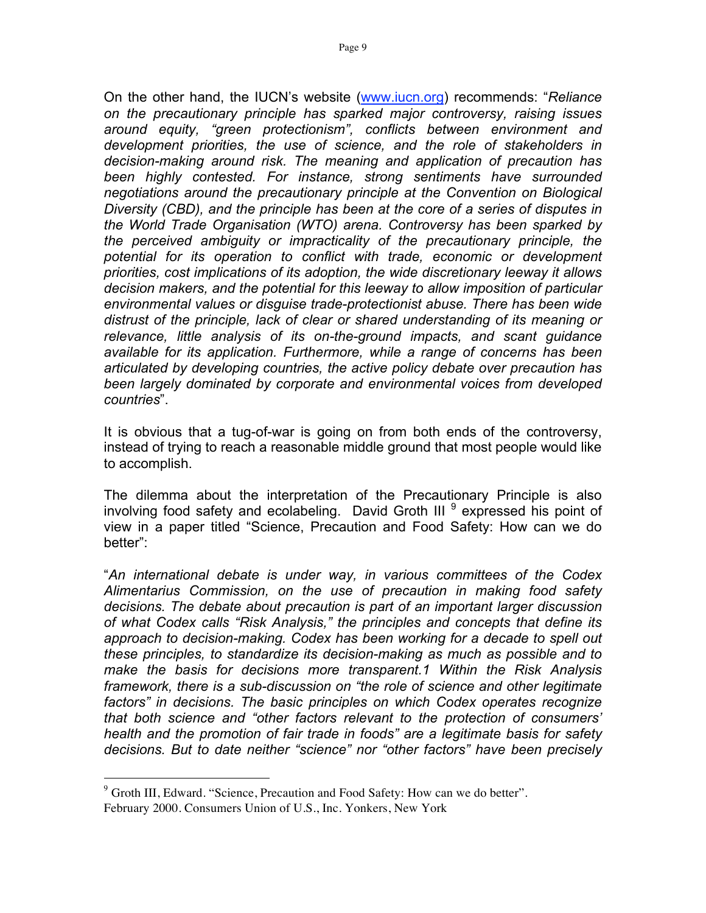On the other hand, the IUCN's website (www.iucn.org) recommends: "*Reliance on the precautionary principle has sparked major controversy, raising issues around equity, "green protectionism", conflicts between environment and development priorities, the use of science, and the role of stakeholders in decision-making around risk. The meaning and application of precaution has been highly contested. For instance, strong sentiments have surrounded negotiations around the precautionary principle at the Convention on Biological Diversity (CBD), and the principle has been at the core of a series of disputes in the World Trade Organisation (WTO) arena. Controversy has been sparked by the perceived ambiguity or impracticality of the precautionary principle, the potential for its operation to conflict with trade, economic or development priorities, cost implications of its adoption, the wide discretionary leeway it allows decision makers, and the potential for this leeway to allow imposition of particular environmental values or disguise trade-protectionist abuse. There has been wide distrust of the principle, lack of clear or shared understanding of its meaning or relevance, little analysis of its on-the-ground impacts, and scant guidance available for its application. Furthermore, while a range of concerns has been articulated by developing countries, the active policy debate over precaution has been largely dominated by corporate and environmental voices from developed countries*".

It is obvious that a tug-of-war is going on from both ends of the controversy, instead of trying to reach a reasonable middle ground that most people would like to accomplish.

The dilemma about the interpretation of the Precautionary Principle is also involving food safety and ecolabeling. David Groth III <sup>9</sup> expressed his point of view in a paper titled "Science, Precaution and Food Safety: How can we do better":

"*An international debate is under way, in various committees of the Codex Alimentarius Commission, on the use of precaution in making food safety decisions. The debate about precaution is part of an important larger discussion of what Codex calls "Risk Analysis," the principles and concepts that define its approach to decision-making. Codex has been working for a decade to spell out these principles, to standardize its decision-making as much as possible and to make the basis for decisions more transparent.1 Within the Risk Analysis framework, there is a sub-discussion on "the role of science and other legitimate factors" in decisions. The basic principles on which Codex operates recognize that both science and "other factors relevant to the protection of consumers' health and the promotion of fair trade in foods" are a legitimate basis for safety decisions. But to date neither "science" nor "other factors" have been precisely* 

<sup>&</sup>lt;sup>9</sup> Groth III, Edward. "Science, Precaution and Food Safety: How can we do better". February 2000. Consumers Union of U.S., Inc. Yonkers, New York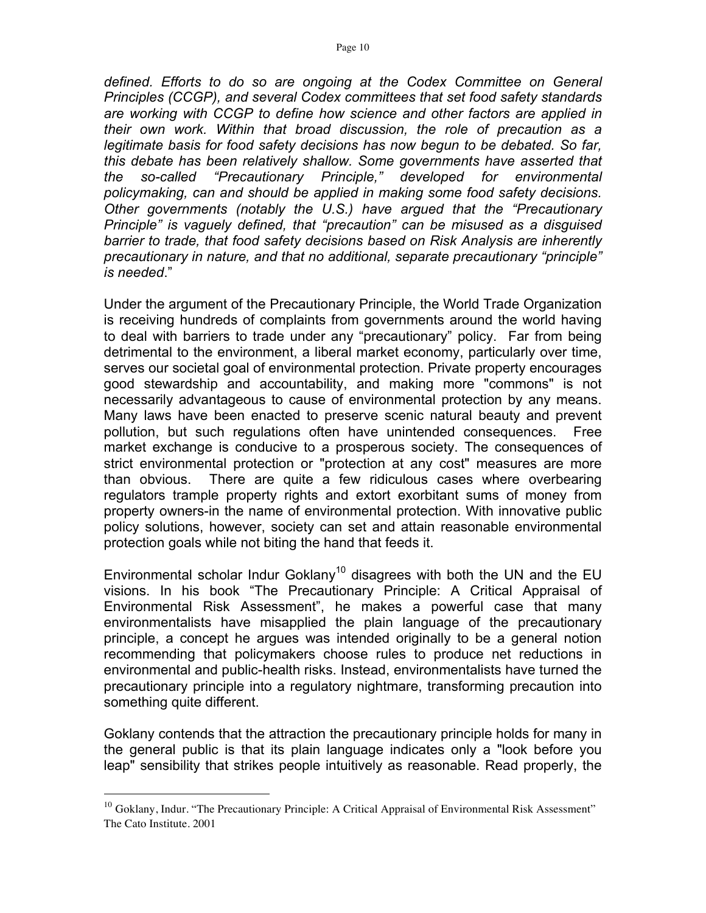*defined. Efforts to do so are ongoing at the Codex Committee on General Principles (CCGP), and several Codex committees that set food safety standards are working with CCGP to define how science and other factors are applied in their own work. Within that broad discussion, the role of precaution as a legitimate basis for food safety decisions has now begun to be debated. So far, this debate has been relatively shallow. Some governments have asserted that the so-called "Precautionary Principle," developed for environmental policymaking, can and should be applied in making some food safety decisions. Other governments (notably the U.S.) have argued that the "Precautionary Principle" is vaguely defined, that "precaution" can be misused as a disguised barrier to trade, that food safety decisions based on Risk Analysis are inherently precautionary in nature, and that no additional, separate precautionary "principle" is needed*."

Under the argument of the Precautionary Principle, the World Trade Organization is receiving hundreds of complaints from governments around the world having to deal with barriers to trade under any "precautionary" policy. Far from being detrimental to the environment, a liberal market economy, particularly over time, serves our societal goal of environmental protection. Private property encourages good stewardship and accountability, and making more "commons" is not necessarily advantageous to cause of environmental protection by any means. Many laws have been enacted to preserve scenic natural beauty and prevent pollution, but such regulations often have unintended consequences. Free market exchange is conducive to a prosperous society. The consequences of strict environmental protection or "protection at any cost" measures are more than obvious. There are quite a few ridiculous cases where overbearing regulators trample property rights and extort exorbitant sums of money from property owners-in the name of environmental protection. With innovative public policy solutions, however, society can set and attain reasonable environmental protection goals while not biting the hand that feeds it.

Environmental scholar Indur Goklany<sup>10</sup> disagrees with both the UN and the EU visions. In his book "The Precautionary Principle: A Critical Appraisal of Environmental Risk Assessment", he makes a powerful case that many environmentalists have misapplied the plain language of the precautionary principle, a concept he argues was intended originally to be a general notion recommending that policymakers choose rules to produce net reductions in environmental and public-health risks. Instead, environmentalists have turned the precautionary principle into a regulatory nightmare, transforming precaution into something quite different.

Goklany contends that the attraction the precautionary principle holds for many in the general public is that its plain language indicates only a "look before you leap" sensibility that strikes people intuitively as reasonable. Read properly, the

 $10$  Goklany, Indur. "The Precautionary Principle: A Critical Appraisal of Environmental Risk Assessment" The Cato Institute. 2001